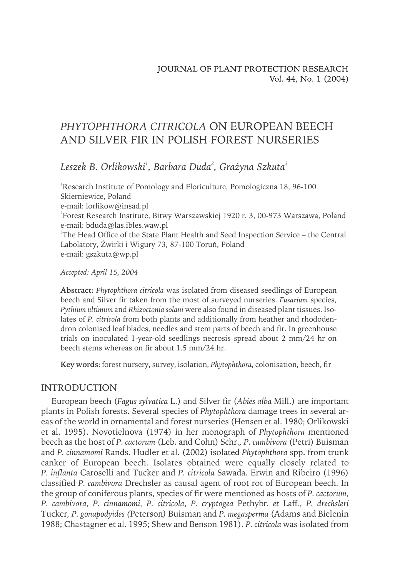# *PHYTOPHTHORA CITRICOLA* ON EUROPEAN BEECH AND SILVER FIR IN POLISH FOREST NURSERIES

Leszek B. Orlikowski<sup>1</sup>, Barbara Duda<sup>2</sup>, Grażyna Szkuta<sup>3</sup>

<sup>1</sup>Research Institute of Pomology and Floriculture, Pomologiczna 18, 96-100 Skierniewice, Poland e-mail: lorlikow@insad.pl  $^{2}$ Forest Research Institute, Bitwy Warszawskiej 1920 r. 3, 00-973 Warszawa, Poland e-mail: bduda@las.ibles.waw.pl 3 The Head Office of the State Plant Health and Seed Inspection Service – the Central Labolatory, Żwirki i Wigury 73, 87-100 Toruń, Poland e-mail: gszkuta@wp.pl

*Accepted: April 15, 2004*

Abstract: Phytophthora citricola was isolated from diseased seedlings of European beech and Silver fir taken from the most of surveyed nurseries. *Fusarium* species, *Pythium ultimum* and *Rhizoctonia solani* were also found in diseased plant tissues. Isolates of *P. citricola* from both plants and additionally from heather and rhododendron colonised leaf blades, needles and stemparts of beech and fir. In greenhouse trials on inoculated 1-year-old seedlings necrosis spread about 2 mm/24 hr on beech stems whereas on fir about 1.5 mm/24 hr.

**Key words**: forest nursery, survey, isolation, *Phytophthora*, colonisation, beech, fir

### INTRODUCTION

European beech (*Fagus sylvatica* L.) and Silver fir (*Abies alba* Mill.) are important plants in Polish forests. Several species of *Phytophthora* damage trees in several areas of the world in ornamental and forest nurseries (Hensen et al. 1980; Orlikowski et al. 1995). Novotielnova (1974) in her monograph of *Phytophthora* mentioned beech as the host of *P. cactorum* (Leb. and Cohn) Schr.*, P*. *cambivora* (Petri) Buisman and *P. cinnamomi* Rands. Hudler et al. (2002) isolated *Phytophthora* spp. fromtrunk canker of European beech. Isolates obtained were equally closely related to *P. inflanta* Caroselli and Tucker and *P. citricola* Sawada. Erwin and Ribeiro (1996) classified *P. cambivora* Drechsler as causal agent of root rot of European beech. In the group of coniferous plants, species of fir were mentioned as hosts of *P. cactorum, P. cambivora, P. cinnamomi, P. citricola*, *P. cryptogea* Pethybr*. et* Laff*.*, *P. drechsleri* Tucker*, P. gonapodyides (*Peterson*)* Buisman and *P. megasperma* (Adams and Bielenin 1988; Chastagner et al. 1995; Shew and Benson 1981). *P. citricola* was isolated from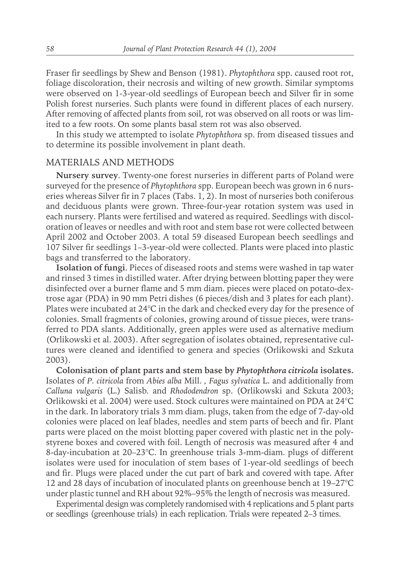Fraser fir seedlings by Shew and Benson (1981). *Phytophthora* spp. caused root rot, foliage discoloration, their necrosis and wilting of new growth. Similar symptoms were observed on 1-3-year-old seedlings of European beech and Silver fir in some Polish forest nurseries. Such plants were found in different places of each nursery. After removing of affected plants from soil, rot was observed on all roots or was limited to a few roots. On some plants basal stem rot was also observed.

In this study we attempted to isolate *Phytophthora* sp. from diseased tissues and to determine its possible involvement in plant death.

#### MATERIALS AND METHODS

**Nursery survey**. Twenty-one forest nurseries in different parts of Poland were surveyed for the presence of *Phytophthora* spp. European beech was grown in 6 nurseries whereas Silver fir in 7 places (Tabs. 1, 2). In most of nurseries both coniferous and deciduous plants were grown. Three-four-year rotation systemwas used in each nursery. Plants were fertilised and watered as required. Seedlings with discoloration of leaves or needles and with root and stembase rot were collected between April 2002 and October 2003. A total 59 diseased European beech seedlings and 107 Silver fir seedlings 1–3-year-old were collected. Plants were placed into plastic bags and transferred to the laboratory.

**Isolation of fungi**. Pieces of diseased roots and stems were washed in tap water and rinsed 3 times in distilled water. After drying between blotting paper they were disinfected over a burner flame and 5 mm diam. pieces were placed on potato-dextrose agar (PDA) in 90 mm Petri dishes (6 pieces/dish and 3 plates for each plant). Plates were incubated at 24°C in the dark and checked every day for the presence of colonies. Small fragments of colonies, growing around of tissue pieces, were transferred to PDA slants. Additionally, green apples were used as alternative medium (Orlikowski et al. 2003). After segregation of isolates obtained, representative cultures were cleaned and identified to genera and species (Orlikowski and Szkuta 2003).

**Colonisation of plant parts and stem base by** *Phytophthora citricola* **isolates.** Isolates of *P. citricola* from *Abies alba* Mill. *, Fagus sylvatica* L. and additionally from *Calluna vulgaris* (L.) Salisb*.* and *Rhododendron* sp. (Orlikowski and Szkuta 2003; Orlikowski et al. 2004) were used. Stock cultures were maintained on PDA at 24°C in the dark. In laboratory trials 3 mm diam. plugs, taken from the edge of 7-day-old colonies were placed on leaf blades, needles and stemparts of beech and fir. Plant parts were placed on the moist blotting paper covered with plastic net in the polystyrene boxes and covered with foil. Length of necrosis was measured after 4 and 8-day-incubation at 20–23°C. In greenhouse trials 3-mm-diam. plugs of different isolates were used for inoculation of stembases of 1-year-old seedlings of beech and fir. Plugs were placed under the cut part of bark and covered with tape. After 12 and 28 days of incubation of inoculated plants on greenhouse bench at 19–27°C under plastic tunnel and RH about 92%–95% the length of necrosis was measured.

Experimental design was completely randomised with 4 replications and 5 plant parts or seedlings (greenhouse trials) in each replication. Trials were repeated 2–3 times.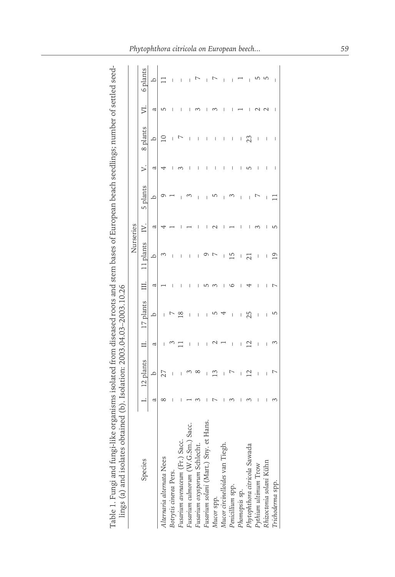Table 1. Fungi and fungi-like organisms isolated from diseased roots and stem bases of European beach seedlings; number of settled seed-<br>lings (a) and isolates obtained (b). Isolation: 2003.04.03-2003.10.26 Table 1. Fungi and fungi-like organisms isolated fromdiseased roots and stembases of European beach seedlings; number of settled seedlings (a) and isolates obtained (b). Isolation: 2003.04.03–2003.10.26

|                                                                |   |                          |                          |                          |   | Nurseries |   |          |                          |                          |   |          |
|----------------------------------------------------------------|---|--------------------------|--------------------------|--------------------------|---|-----------|---|----------|--------------------------|--------------------------|---|----------|
| Species                                                        |   | 12 plants                |                          | 17 plants                |   | 11 plants |   | 5 plants |                          | 8 plants                 |   | 6 plants |
|                                                                | a | $\Delta$                 | ದ                        | $\Delta$                 | ದ | q         | a | $\Delta$ | d                        | ≏                        | ದ | ≏        |
| Alternaria alternata Nees                                      |   |                          |                          |                          |   |           |   |          |                          |                          |   |          |
| Botrytis cinerea Pers.                                         |   | I                        |                          |                          |   |           |   |          |                          |                          |   |          |
| Fusarium avenaceum (Fr.) Sacc.                                 |   |                          |                          |                          | I | I         |   |          |                          |                          |   |          |
| Fusarium culmorum (W.G.Sm.) Sac                                |   |                          | I                        | I                        |   | ı         |   |          |                          |                          |   |          |
|                                                                |   |                          | ı                        |                          |   | I         |   |          |                          |                          |   |          |
| Fusarium oxysporum Schlecht.<br>Fusarium solani (Mart.) Sny. e |   |                          | I                        | I                        |   |           |   |          |                          | I                        |   |          |
| Mucor spp.                                                     |   |                          |                          |                          |   |           |   |          |                          | I                        |   |          |
| Mucor circinelloides van Tiegh.                                |   | I                        |                          |                          | ı | I         |   |          | I                        | I                        |   |          |
| Penicillium spp.                                               |   |                          | $\overline{\phantom{a}}$ | $\overline{\phantom{a}}$ |   | ഥ         |   |          | I                        | I                        |   |          |
|                                                                |   |                          | I                        | I                        |   |           |   |          |                          | ı                        |   |          |
| Phomopsis sp.<br>Phytophthora citricola Sawada                 |   | $\mathcal{C}$            |                          |                          |   |           |   |          |                          |                          |   |          |
| Pythium ultimum Trow                                           |   | $\overline{\phantom{a}}$ | $\overline{\phantom{a}}$ | $\overline{\phantom{a}}$ |   | ı         |   |          | $\overline{\phantom{a}}$ | $\overline{\phantom{a}}$ |   |          |
| Rhizoctonia solani Kühn                                        |   | I                        | I                        | I                        |   | I         |   |          | I                        | I                        |   |          |
| Irichoderma spp.                                               |   | Ļ                        | 3                        | 5                        | r | ق         |   |          | I                        | I                        | ı | ı        |
|                                                                |   |                          |                          |                          |   |           |   |          |                          |                          |   |          |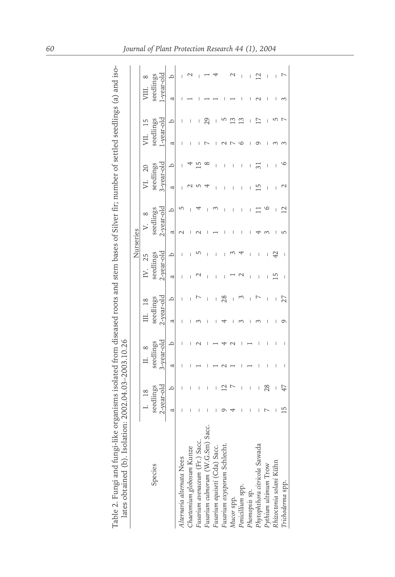| く・こ<br>ì                                                                                                          |                        |
|-------------------------------------------------------------------------------------------------------------------|------------------------|
|                                                                                                                   |                        |
|                                                                                                                   |                        |
|                                                                                                                   |                        |
|                                                                                                                   |                        |
|                                                                                                                   |                        |
|                                                                                                                   |                        |
| i                                                                                                                 |                        |
|                                                                                                                   |                        |
|                                                                                                                   |                        |
|                                                                                                                   |                        |
|                                                                                                                   | ֡֡֡֡֡֡֡                |
|                                                                                                                   | $141 - 21$             |
| ngi-like organisms isolated from diseased roots and stem bases of Silver fir; number of settled seedlings (a) and | りょう かいこう うらん かいかん      |
| :                                                                                                                 | 5012121<br>J<br>J<br>V |
|                                                                                                                   |                        |
| í                                                                                                                 |                        |
| Ì<br>l                                                                                                            |                        |

| Table 2. Fungi and fungi-like organisms isolated from diseased roots and stem bases of Silver<br>lates obtained (b). Isolation: 2002.04.03-2003.10.26 |            |   |            |          |               |   |               |           |            |         |            |   |            | r: number of settled seedlings (a) and iso |            |  |
|-------------------------------------------------------------------------------------------------------------------------------------------------------|------------|---|------------|----------|---------------|---|---------------|-----------|------------|---------|------------|---|------------|--------------------------------------------|------------|--|
|                                                                                                                                                       |            |   |            |          |               |   |               | Nurseries |            |         |            |   |            |                                            |            |  |
|                                                                                                                                                       | 18         |   |            | $\infty$ |               |   |               |           |            |         |            |   | VII.       |                                            |            |  |
| Species                                                                                                                                               | seedlings  |   | seedlings  |          | seedlings     |   | seedlings     |           | seedlings  |         | seedlings  |   | seedlings  |                                            | seedlings  |  |
|                                                                                                                                                       | 2-year-old |   | 3-year-old |          | $2$ -vear-old |   | $2$ -vear-old |           | 2-year-old |         | 3-year-old |   | 1-year-old |                                            | l-vear-old |  |
|                                                                                                                                                       | ದ          | q | a          | ≏        | ß             | ≏ | ದ             | $\circ$   | ದ          | $\circ$ | ß          | ≏ | ದ          | $\circ$                                    | a          |  |
| Alternaria alternata Nees                                                                                                                             |            |   |            |          |               |   |               |           |            |         |            |   |            |                                            |            |  |
| Chaetomium globosum Kunz                                                                                                                              |            |   |            |          |               |   |               |           |            |         |            |   |            |                                            |            |  |
| Fusarium avenaceum (Fr.) Sacc.                                                                                                                        |            |   |            |          |               |   |               |           |            |         |            |   |            |                                            |            |  |
| Fusarium culmorum (W.G.Sm) Saco                                                                                                                       |            |   |            |          |               |   |               |           |            |         |            |   |            |                                            |            |  |
| Fusarium equiseti (Cda) Sacc.                                                                                                                         |            |   |            |          |               |   |               |           |            |         |            |   |            |                                            |            |  |
| Fusarium oxysporum Schlecht.                                                                                                                          |            |   |            |          |               |   |               |           |            |         |            |   |            |                                            |            |  |
| Mucor spp.                                                                                                                                            |            |   |            |          |               |   |               |           |            |         |            |   |            |                                            |            |  |
| Penicillium spp.                                                                                                                                      |            |   |            |          |               |   |               |           |            |         |            |   |            |                                            |            |  |
| Phomopsis sp.                                                                                                                                         |            |   |            |          |               |   |               |           |            |         |            |   |            |                                            |            |  |
| Phytophthora citricola Sawada<br>Pythium ultimum Trow                                                                                                 |            |   |            |          |               |   |               |           |            |         |            |   |            |                                            |            |  |
|                                                                                                                                                       |            |   |            |          |               |   |               |           |            |         |            |   |            |                                            |            |  |
| Rhizoctonia solani Kühn                                                                                                                               |            |   |            |          |               |   |               |           |            |         |            |   |            |                                            |            |  |
| Trichoderma spp.                                                                                                                                      |            |   |            |          |               |   |               |           |            |         |            |   |            |                                            |            |  |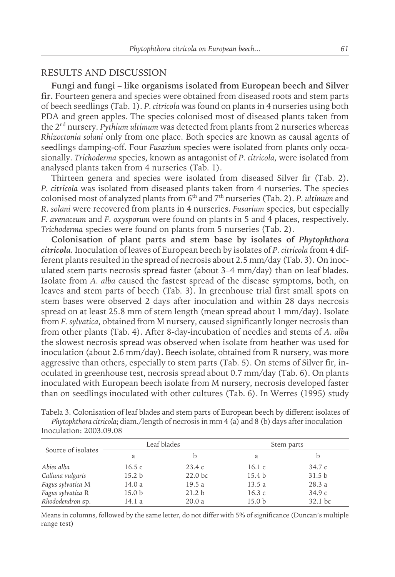#### RESULTS AND DISCUSSION

**Fungi and fungi – like organisms isolated from European beech and Silver** fir. Fourteen genera and species were obtained from diseased roots and stem parts of beech seedlings (Tab. 1). *P. citricola* was found on plants in 4 nurseries using both PDA and green apples. The species colonised most of diseased plants taken from the 2nd nursery. *Pythium ultimum* was detected fromplants from2 nurseries whereas *Rhizoctonia solani* only fromone place. Both species are known as causal agents of seedlings damping-off. Four *Fusarium* species were isolated fromplants only occasionally. *Trichoderma* species, known as antagonist of *P. citricola*, were isolated from analysed plants taken from 4 nurseries (Tab. 1).

Thirteen genera and species were isolated from diseased Silver fir (Tab. 2). *P. citricola* was isolated from diseased plants taken from 4 nurseries. The species colonised most of analyzed plants from 6th and 7th nurseries (Tab. 2). *P. ultimum* and *R. solani* were recovered fromplants in 4 nurseries. *Fusarium* species, but especially *F. avenaceum* and *F. oxysporum* were found on plants in 5 and 4 places, respectively. *Trichoderma* species were found on plants from 5 nurseries (Tab. 2).

**Colonisation of plant parts and stem base by isolates of** *Phytophthora citricola.* Inoculation of leaves of European beech by isolates of *P. citricola* from4 different plants resulted in the spread of necrosis about 2.5 mm/day (Tab. 3). On inoculated stem parts necrosis spread faster (about 3–4 mm/day) than on leaf blades. Isolate from *A. alba* caused the fastest spread of the disease symptoms, both, on leaves and stemparts of beech (Tab. 3). In greenhouse trial first small spots on stembases were observed 2 days after inoculation and within 28 days necrosis spread on at least 25.8 mm of stem length (mean spread about 1 mm/day). Isolate from *F. sylvatica*, obtained from M nursery, caused significantly longer necrosis than fromother plants (Tab. 4). After 8-day-incubation of needles and stems of *A. alba* the slowest necrosis spread was observed when isolate fromheather was used for inoculation (about 2.6 mm/day). Beech isolate, obtained from R nursery, was more aggressive than others, especially to stemparts (Tab. 5). On stems of Silver fir, inoculated in greenhouse test, necrosis spread about 0.7 mm/day (Tab. 6). On plants inoculated with European beech isolate from M nursery, necrosis developed faster than on seedlings inoculated with other cultures (Tab. 6). In Werres (1995) study

|                    | Leaf blades       |                    |                   | Stem parts        |
|--------------------|-------------------|--------------------|-------------------|-------------------|
| Source of isolates | a                 |                    | a                 |                   |
| Abies alba         | 16.5 $\,$ c       | 23.4c              | 16.1c             | 34.7c             |
| Calluna vulgaris   | 15.2 <sub>b</sub> | 22.0 <sub>bc</sub> | 15.4 <sub>b</sub> | 31.5 <sub>b</sub> |
| Fagus sylvatica M  | 14.0 a            | 19.5a              | 13.5a             | 28.3 a            |
| Fagus sylvatica R  | 15.0 <sub>b</sub> | 21.2 <sub>b</sub>  | 16.3c             | 34.9c             |
| Rhododendron sp.   | 14.1 a            | 20.0a              | 15.0 <sub>b</sub> | 32.1 bc           |

Tabela 3. Colonisation of leaf blades and stemparts of European beech by different isolates of *Phytophthora citricola*; diam./length of necrosis in mm 4 (a) and 8 (b) days after inoculation Inoculation: 2003.09.08

Means in columns, followed by the same letter, do not differ with 5% of significance (Duncan's multiple range test)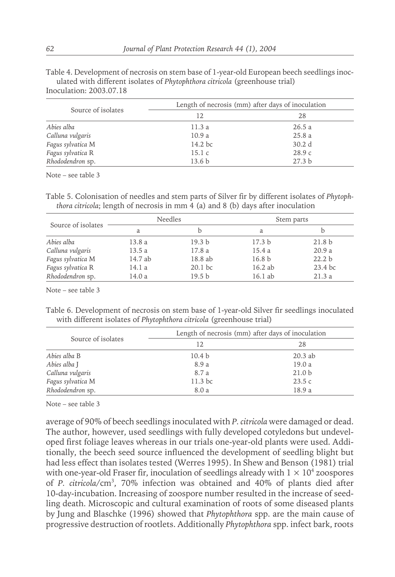Table 4. Development of necrosis on stem base of 1-year-old European beech seedlings inoculated with different isolates of *Phytophthora citricola* (greenhouse trial) Inoculation: 2003.07.18

Source of isolates Length of necrosis (mm) after days of inoculation<br>  $\frac{12}{28}$ 12 28 *Abies alba* 11.3 a 26.5 a *Calluna vulgaris* 10.9 a 25.8 a *Fagus sylvatica* M 14.2 bc 30.2 d *Fagus sylvatica* R 15.1 c 28.9 c *Rhododendron* sp. 13.6 b 27.3 b

Note – see table 3

Table 5. Colonisation of needles and stemparts of Silver fir by different isolates of *Phytophthora citricola*; length of necrosis in mm 4 (a) and 8 (b) days after inoculation

|                    | <b>Needles</b> |                   | Stem parts        |                   |
|--------------------|----------------|-------------------|-------------------|-------------------|
| Source of isolates | a              |                   | a                 |                   |
| Abies alba         | 13.8 a         | 19.3 <sub>b</sub> | 17.3 <sub>b</sub> | 21.8 <sub>b</sub> |
| Calluna vulgaris   | 13.5a          | 17.8 a            | 15.4 a            | 20.9a             |
| Fagus sylvatica M  | 14.7 ab        | 18.8 ab           | 16.8 <sub>b</sub> | 22.2 <sub>b</sub> |
| Fagus sylvatica R  | 14.1 a         | $20.1$ bc         | 16.2 ab           | 23.4 bc           |
| Rhododendron sp.   | 14.0 a         | 19.5 <sub>b</sub> | 16.1 ab           | 21.3a             |

Note – see table 3

Table 6. Development of necrosis on stem base of 1-year-old Silver fir seedlings inoculated with different isolates of *Phytophthora citricola* (greenhouse trial)

|                    | Length of necrosis (mm) after days of inoculation |                   |
|--------------------|---------------------------------------------------|-------------------|
| Source of isolates | 12                                                | 28                |
| Abies alba B       | 10.4 <sub>b</sub>                                 | $20.3$ ab         |
| Abies alba J       | 8.9 a                                             | 19.0 a            |
| Calluna vulgaris   | 8.7 a                                             | 21.0 <sub>b</sub> |
| Fagus sylvatica M  | 11.3 bc                                           | 23.5c             |
| Rhododendron sp.   | 8.0 a                                             | 18.9 a            |

Note – see table 3

average of 90% of beech seedlings inoculated with *P. citricola* were damaged or dead. The author, however, used seedlings with fully developed cotyledons but undeveloped first foliage leaves whereas in our trials one-year-old plants were used. Additionally, the beech seed source influenced the development of seedling blight but had less effect than isolates tested (Werres 1995). In Shew and Benson (1981) trial with one-year-old Fraser fir, inoculation of seedlings already with  $1 \times 10^4$  zoospores of *P. citricola*/cm3 , 70% infection was obtained and 40% of plants died after 10-day-incubation. Increasing of zoospore number resulted in the increase of seedling death. Microscopic and cultural examination of roots of some diseased plants by Jung and Blaschke (1996) showed that *Phytophthora* spp. are the main cause of progressive destruction of rootlets. Additionally *Phytophthora* spp. infect bark, roots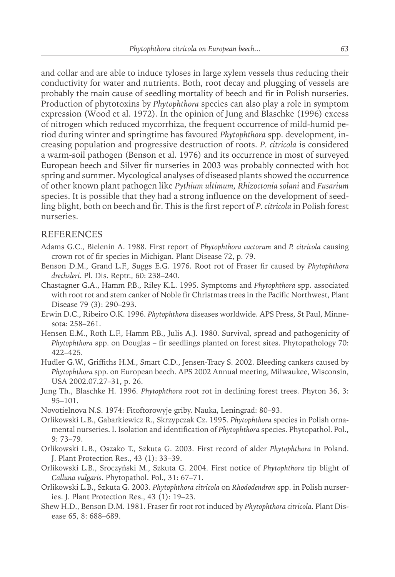and collar and are able to induce tyloses in large xylemvessels thus reducing their conductivity for water and nutrients. Both, root decay and plugging of vessels are probably the main cause of seedling mortality of beech and fir in Polish nurseries. Production of phytotoxins by *Phytophthora* species can also play a role in symptom expression (Wood et al. 1972). In the opinion of Jung and Blaschke (1996) excess of nitrogen which reduced mycorrhiza, the frequent occurrence of mild-humid period during winter and springtime has favoured *Phytophthora* spp. development, increasing population and progressive destruction of roots. *P. citricola* is considered a warm-soil pathogen (Benson et al. 1976) and its occurrence in most of surveyed European beech and Silver fir nurseries in 2003 was probably connected with hot spring and summer. Mycological analyses of diseased plants showed the occurrence of other known plant pathogen like *Pythium ultimum*, *Rhizoctonia solani* and *Fusarium* species. It is possible that they had a strong influence on the development of seedling blight, both on beech and fir. This is the first report of *P. citricola* in Polish forest nurseries.

#### REFERENCES

- Adams G.C., Bielenin A. 1988. First report of *Phytophthora cactorum* and *P. citricola* causing crown rot of fir species in Michigan. Plant Disease 72, p. 79.
- Benson D.M., Grand L.F., Suggs E.G. 1976. Root rot of Fraser fir caused by *Phytophthora drechsleri*. Pl. Dis. Reptr., 60: 238–240.
- Chastagner G.A., Hamm P.B., Riley K.L. 1995. Symptoms and *Phytophthora* spp. associated with root rot and stemcanker of Noble fir Christmas trees in the Pacific Northwest, Plant Disease 79 (3): 290–293.
- Erwin D.C., Ribeiro O.K. 1996. *Phytophthora* diseases worldwide. APS Press, St Paul, Minnesota: 258–261.
- Hensen E.M., Roth L.F., Hamm P.B., Julis A.J. 1980. Survival, spread and pathogenicity of *Phytophthora* spp. on Douglas – fir seedlings planted on forest sites. Phytopathology 70: 422–425.
- Hudler G.W., Griffiths H.M., Smart C.D., Jensen-Tracy S. 2002. Bleeding cankers caused by *Phytophthora* spp. on European beech. APS 2002 Annual meeting, Milwaukee, Wisconsin, USA 2002.07.27–31, p. 26.
- Jung Th., Blaschke H. 1996. *Phytophthora* root rot in declining forest trees. Phyton 36, 3: 95–101.
- Novotielnova N.S. 1974: Fitoftorowyje griby. Nauka, Leningrad: 80–93.
- Orlikowski L.B., Gabarkiewicz R., Skrzypczak Cz. 1995. *Phytophthora* species in Polish ornamental nurseries. I. Isolation and identification of *Phytophthora* species. Phytopathol. Pol., 9: 73–79.
- Orlikowski L.B., Oszako T., Szkuta G. 2003. First record of alder *Phytophthora* in Poland. J. Plant Protection Res., 43 (1): 33–39.
- Orlikowski L.B., Sroczyński M., Szkuta G. 2004. First notice of *Phytophthora* tip blight of *Calluna vulgaris*. Phytopathol. Pol., 31: 67–71.
- Orlikowski L.B., Szkuta G. 2003. *Phytophthora citricola* on *Rhododendron* spp. in Polish nurseries. J. Plant Protection Res., 43 (1): 19–23.
- Shew H.D., Benson D.M. 1981. Fraser fir root rot induced by *Phytophthora citricola*. Plant Disease 65, 8: 688–689.